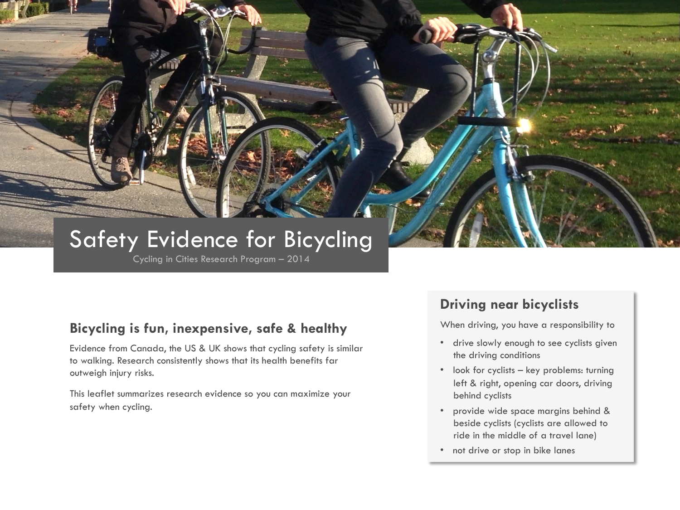# Safety Evidence for Bicycling

Cycling in Cities Research Program – 2014

## **Bicycling is fun, inexpensive, safe & healthy**

Evidence from Canada, the US & UK shows that cycling safety is similar to walking. Research consistently shows that its health benefits far outweigh injury risks.

This leaflet summarizes research evidence so you can maximize your safety when cycling.

## **Driving near bicyclists**

When driving, you have a responsibility to

- drive slowly enough to see cyclists given the driving conditions
- look for cyclists key problems: turning left & right, opening car doors, driving behind cyclists
- provide wide space margins behind & beside cyclists (cyclists are allowed to ride in the middle of a travel lane)
- not drive or stop in bike lanes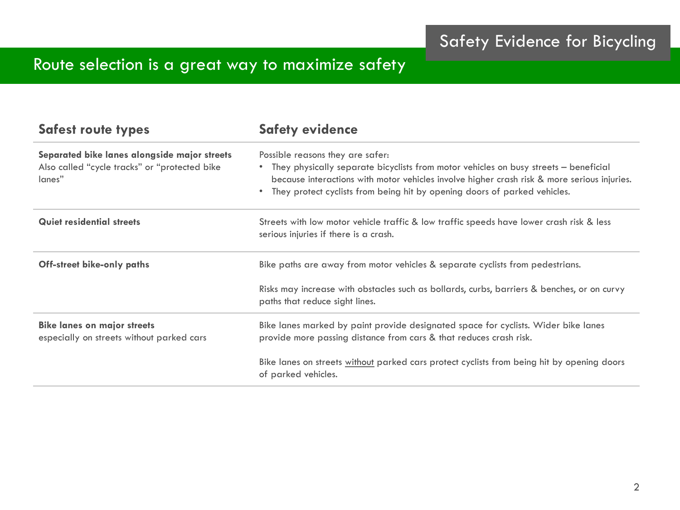# Route selection is a great way to maximize safety

| <b>Safest route types</b>                                                                               | <b>Safety evidence</b>                                                                                                                                                                                                                                                                               |
|---------------------------------------------------------------------------------------------------------|------------------------------------------------------------------------------------------------------------------------------------------------------------------------------------------------------------------------------------------------------------------------------------------------------|
| Separated bike lanes alongside major streets<br>Also called "cycle tracks" or "protected bike<br>lanes" | Possible reasons they are safer:<br>They physically separate bicyclists from motor vehicles on busy streets - beneficial<br>because interactions with motor vehicles involve higher crash risk & more serious injuries.<br>They protect cyclists from being hit by opening doors of parked vehicles. |
| <b>Quiet residential streets</b>                                                                        | Streets with low motor vehicle traffic & low traffic speeds have lower crash risk & less<br>serious injuries if there is a crash.                                                                                                                                                                    |
| <b>Off-street bike-only paths</b>                                                                       | Bike paths are away from motor vehicles & separate cyclists from pedestrians.                                                                                                                                                                                                                        |
|                                                                                                         | Risks may increase with obstacles such as bollards, curbs, barriers & benches, or on curvy<br>paths that reduce sight lines.                                                                                                                                                                         |
| <b>Bike lanes on major streets</b><br>especially on streets without parked cars                         | Bike lanes marked by paint provide designated space for cyclists. Wider bike lanes<br>provide more passing distance from cars & that reduces crash risk.                                                                                                                                             |
|                                                                                                         | Bike lanes on streets without parked cars protect cyclists from being hit by opening doors<br>of parked vehicles.                                                                                                                                                                                    |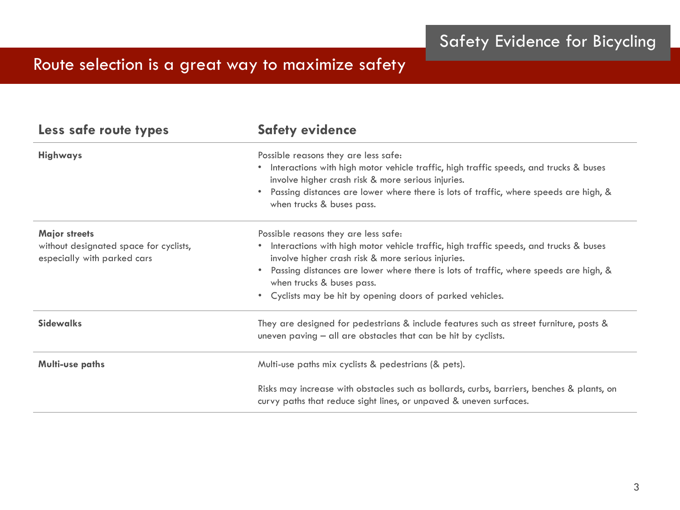# Route selection is a great way to maximize safety

| Less safe route types                                                                         | <b>Safety evidence</b>                                                                                                                                                                                                                                                                                                                                               |
|-----------------------------------------------------------------------------------------------|----------------------------------------------------------------------------------------------------------------------------------------------------------------------------------------------------------------------------------------------------------------------------------------------------------------------------------------------------------------------|
| <b>Highways</b>                                                                               | Possible reasons they are less safe:<br>Interactions with high motor vehicle traffic, high traffic speeds, and trucks & buses<br>involve higher crash risk & more serious injuries.<br>Passing distances are lower where there is lots of traffic, where speeds are high, &<br>when trucks & buses pass.                                                             |
| <b>Major streets</b><br>without designated space for cyclists,<br>especially with parked cars | Possible reasons they are less safe:<br>Interactions with high motor vehicle traffic, high traffic speeds, and trucks & buses<br>involve higher crash risk & more serious injuries.<br>Passing distances are lower where there is lots of traffic, where speeds are high, &<br>when trucks & buses pass.<br>Cyclists may be hit by opening doors of parked vehicles. |
| <b>Sidewalks</b>                                                                              | They are designed for pedestrians & include features such as street furniture, posts &<br>uneven paving $-$ all are obstacles that can be hit by cyclists.                                                                                                                                                                                                           |
| <b>Multi-use paths</b>                                                                        | Multi-use paths mix cyclists & pedestrians (& pets).                                                                                                                                                                                                                                                                                                                 |
|                                                                                               | Risks may increase with obstacles such as bollards, curbs, barriers, benches & plants, on<br>curvy paths that reduce sight lines, or unpaved & uneven surfaces.                                                                                                                                                                                                      |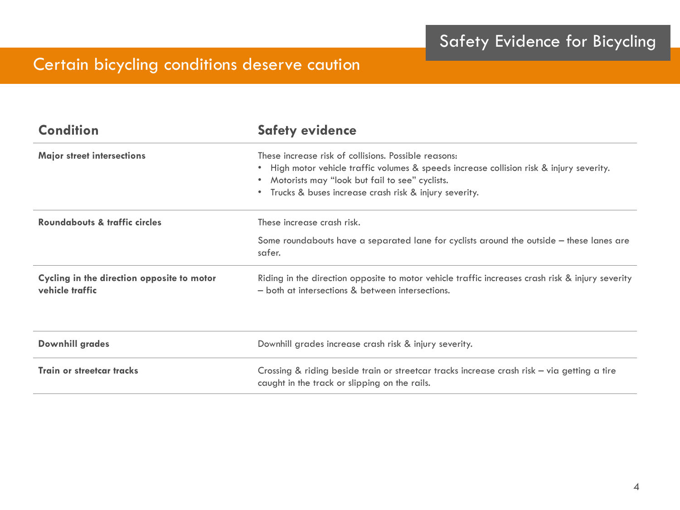# Certain bicycling conditions deserve caution

| <b>Condition</b>                                              | <b>Safety evidence</b>                                                                                                                                                                                                                                      |
|---------------------------------------------------------------|-------------------------------------------------------------------------------------------------------------------------------------------------------------------------------------------------------------------------------------------------------------|
| <b>Major street intersections</b>                             | These increase risk of collisions. Possible reasons:<br>High motor vehicle traffic volumes & speeds increase collision risk & injury severity.<br>Motorists may "look but fail to see" cyclists.<br>• Trucks & buses increase crash risk & injury severity. |
| Roundabouts & traffic circles                                 | These increase crash risk.                                                                                                                                                                                                                                  |
|                                                               | Some roundabouts have a separated lane for cyclists around the outside - these lanes are<br>safer.                                                                                                                                                          |
| Cycling in the direction opposite to motor<br>vehicle traffic | Riding in the direction opposite to motor vehicle traffic increases crash risk & injury severity<br>- both at intersections & between intersections.                                                                                                        |
| <b>Downhill grades</b>                                        | Downhill grades increase crash risk & injury severity.                                                                                                                                                                                                      |
| <b>Train or streetcar tracks</b>                              | Crossing & riding beside train or streetcar tracks increase crash risk - via getting a tire<br>caught in the track or slipping on the rails.                                                                                                                |